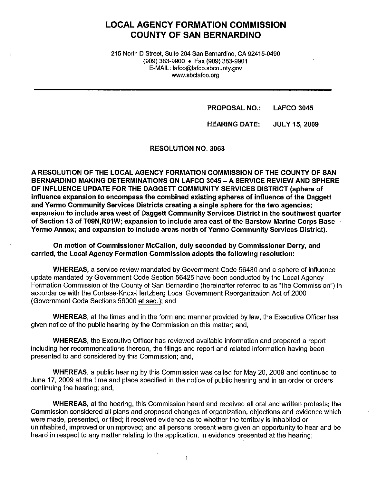# **LOCAL AGENCY FORMATION COMMISSION COUNTY OF SAN BERNARDINO**

215 North D Street, Suite 204 San Bernardino, CA 92415-0490 (909) 383-9900 • Fax (909) 383-9901 E-MAIL: lafco@lafco.sbcounty.gov www.sbclafco.org

> **PROPOSAL NO.: LAFCO 3045**

**HEARING DATE: JULY 15, 2009** 

**RESOLUTION NO. 3063** 

A RESOLUTION OF THE LOCAL AGENCY FORMATION COMMISSION OF THE COUNTY OF SAN **BERNARDINO MAKING DETERMINATIONS ON LAFCO 3045 - A SERVICE REVIEW AND SPHERE OF INFLUENCE UPDATE FOR THE DAGGETT COMMUNITY SERVICES DISTRICT (sphere of influence expansion to encompass the combined existing spheres of influence of the Daggett and Yermo Community Services Districts creating a single sphere for the two agencies; expansion to include area west of Daggett Community Services District in the southwest quarter of Section 13 of T09N,R01W; expansion to include area east of the Barstow Marine Corps Base** - **Yermo Annex; and expansion to include areas north of Yermo Community Services District).** 

**On motion of Commissioner McCallon, duly seconded by Commissioner Derry, and carried, the Local Agency Formation Commission adopts the following resolution:** 

**WHEREAS,** a service review mandated by Government Code 56430 and a sphere of influence update mandated by Government Code Section 56425 have been conducted by the Local Agency Formation Commission of the County of San Bernardino (hereinafter referred to as "the Commission") in accordance with the Cortese-Knox-Hertzberg Local Government Reorganization Act of 2000 ( Government Code Sections 56000 et seq.): and

**WHEREAS,** at the times and in the form and manner provided by law, the Executive Officer has given notice of the public hearing by the Commission on this matter; and,

**WHEREAS,** the Executive Officer has reviewed available information and prepared a report including her recommendations thereon, the filings and report and related information having been presented to and considered by this Commission; and,

**WHEREAS,** a public hearing by this Commission was called for May 20, 2009 and continued to June 17, 2009 at the time and place specified in the notice of public hearing and in an order or orders continuing the hearing; and,

**WHEREAS,** at the hearing, this Commission heard and received all oral and written protests; the Commission considered all plans and proposed changes of organization, objections and evidence which were made, presented, or filed; it received evidence as to whether the territory is inhabited or uninhabited, improved or unimproved; and all persons present were given an opportunity to hear and be heard in respect to any matter relating to the application, in evidence presented at the hearing;

 $\mathbf{1}$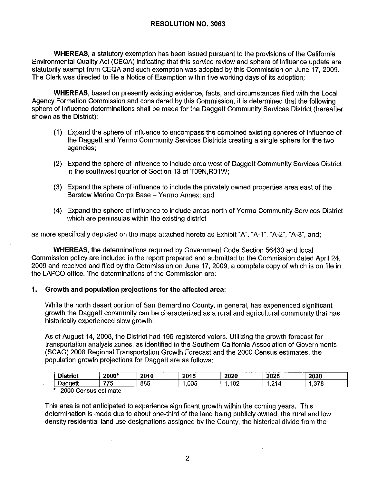**WHEREAS,** a statutory exemption has been issued pursuant to the provisions of the California Environmental Quality Act (CEQA) indicating that this service review and sphere of influence update are statutorily exempt from CEQA and such exemption was adopted by this Commission on June 17, 2009. The Clerk was directed to file a Notice of Exemption within five working days of its adoption;

**WHEREAS,** based on presently existing evidence, facts, and circumstances filed with the Local Agency Formation Commission and considered by this Commission, **it** is determined that the following sphere of influence determinations shall be made for the Daggett Community Services District (hereafter shown as the District):

- (1) Expand the sphere of influence to encompass the combined existing spheres of influence of the Daggett and Yermo Community Services Districts creating a single sphere for the two agencies;
- (2) Expand the sphere of influence to include area west of Daggett Community Services District in the southwest quarter of Section 13 of T09N, R01W;
- (3) Expand the sphere of influence to include the privately owned properties area east of the Barstow Marine Corps Base - Yermo Annex; and
- (4) Expand the sphere of influence to include areas north of Yermo Community Services District which are peninsulas within the existing district

as more specifically depicted on the maps attached hereto as Exhibit "A", "A-1", "A-2", "A-3", and;

**WHEREAS,** the determinations required by Government Code Section 56430 and local Commission policy are included in the report prepared and submitted to the Commission dated April 24, 2009 and received and filed by the Commission on June 17, 2009, a complete copy of which is on file in the LAFCO office. The determinations of the Commission are:

# **1. Growth and population projections for the affected area:**

While the north desert portion of San Bernardino County, in general, has experienced significant growth the Daggett community can be characterized as a rural and agricultural community that has historically experienced slow growth.

As of August 14, 2008, the District had 195 registered voters. Utilizing the growth forecast for transportation analysis zones, as identified in the Southern California Association of Governments (SCAG) 2008 Regional Transportation Growth Forecast and the 2000 Census estimates, the population growth projections for Daggett are as follows:

| $\mathbf{u}$ and $\mathbf{u}$<br>-- | $\sim$<br>4 U I  | 0011<br>. . | ^^<br>- -        | ooor<br>uv. | ሳሳሳ ሮ                    | $\sim$  |        |
|-------------------------------------|------------------|-------------|------------------|-------------|--------------------------|---------|--------|
| -<br>-                              | $- - - -$<br>. . | ററ<br>οοι   | .<br>$\sim$<br>ш | o c<br>v.   | $\overline{\phantom{a}}$ | $- - -$ | ------ |
| ------<br>$-1$                      |                  | $-$         |                  |             |                          |         |        |

\* 2000 Census estimate

 $\ddot{\phantom{0}}$ 

This area is not anticipated to experience significant growth within the coming years. This determination is made due to about one-third of the land being publicly owned, the rural and low density residential land use designations assigned by the County, the historical divide from the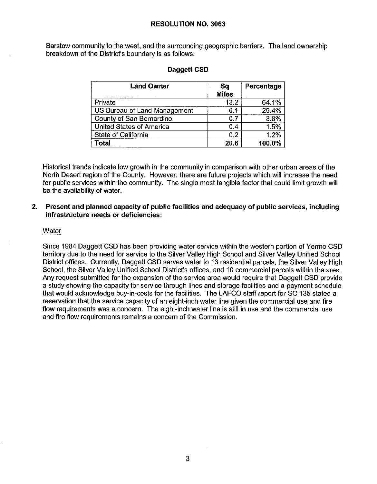Barstow community to the west, and the surrounding geographic barriers. The land ownership breakdown of the District's boundary is as follows:

| <b>Land Owner</b>            | <b>Sq</b><br><b>Miles</b> | Percentage |
|------------------------------|---------------------------|------------|
| Private                      | 13.2                      | 64.1%      |
| US Bureau of Land Management | 6.1                       | 29.4%      |
| County of San Bernardino     | 0.7                       | 3.8%       |
| United States of America     | 0.4                       | 1.5%       |
| State of California          | 0.2                       | 1.2%       |
| Total                        | 20.6                      | 100.0%     |

# **Daggett CSD**

Historical trends indicate low growth in the community in comparison with other urban areas of the North Desert region of the County. However, there are future projects which will increase the need for public services within the community. The single most tangible factor that could limit growth will be the availability of water.

# **2. Present and planned capacity of public facilities and adequacy of public services, including infrastructure needs or deficiencies:**

#### **Water**

Since 1984 Daggett CSD has been providing water service within the western portion of Verma CSD territory due to the need for service to the Silver Valley High School and Silver Valley Unified School District offices. Currently, Daggett CSD serves water to 13 residential parcels, the Silver Valley High School, the Silver Valley Unified School District's offices, and 10 commercial parcels within the area. Any request submitted for the expansion of the service area would require that Daggett CSD provide a study showing the capacity for service through lines and storage facilities and a payment schedule that would acknowledge buy-in-costs for the facilities. The LAFCO staff report for SC 135 staled a reservation that the service capacity of an eight-inch water line given the commercial use and fire flow requirements was a concern. The eight-inch water line is still in use and the commercial use and fire flow requirements remains a concern of the Commission.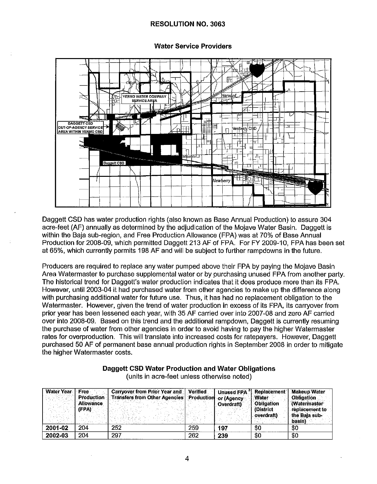**Water Service Providers** 



Daggett CSD has water production rights (also known as Base Annual Production) to assure 304 acre-feet (AF) annually as determined by the adjudication of the Moiave Water Basin. Daggett is within the Baja sub-region, and Free Production Allowance (FPA) was at 70% of Base Annual Production for 2008-09, which permitted Daggett 213 AF of FPA. For FY 2009-10, FPA has been set at 65%, which currently permits 198 AF and will be subject to further rampdowns in the future.

Producers are required to replace any water pumped above their FPA by paying the Mojave Basin Area Watermaster to purchase supplemental water or by purchasing unused FPA from another party. The historical trend for Daggett's water production indicates that it does produce more than its FPA. However, until 2003-04 it had purchased water from other agencies to make up the difference along with purchasing additional water for future use. Thus, it has had no replacement obligation to the Watermaster. However, given the trend of water production in excess of its FPA, its carryover from prior vear has been lessened each vear, with 35 AF carried over into 2007-08 and zero AF carried over into 2008-09. Based on this trend and the additional rampdown. Daggett is currently resuming the purchase of water from other agencies in order to avoid having to pay the higher Watermaster rates for overproduction. This will translate into increased costs for ratepayers. However, Daggett purchased 50 AF of permanent base annual production rights in September 2008 in order to mitigate the higher Watermaster costs.

| <b>Water Year</b> | <b>Free</b><br><b>Production</b> | <b>Carryover from Prior Year and</b><br>Transfers from Other Agencies   Production | Verified | <b>Unused FPA</b>        | <b>Replacement</b><br>Water    | <b>Makeup Water</b><br><b>Obligation</b> |
|-------------------|----------------------------------|------------------------------------------------------------------------------------|----------|--------------------------|--------------------------------|------------------------------------------|
|                   | <b>Allowance</b><br>(FPA)        |                                                                                    |          | or (Agency<br>Overdraft) | <b>Obligation</b><br>(District | <b>Y</b> Watermaster<br>replacement to   |
|                   |                                  |                                                                                    |          |                          | overdraft)                     | the Bala sub-<br>basin)                  |
| 2001-02           | 204                              | 252                                                                                | 259      | 197                      | \$0                            | -30                                      |
| 2002-03           | 204                              | 297                                                                                | 262      | 239                      | \$0                            | \$0                                      |

# Daggett CSD Water Production and Water Obligations

(units in acre-feet unless otherwise noted)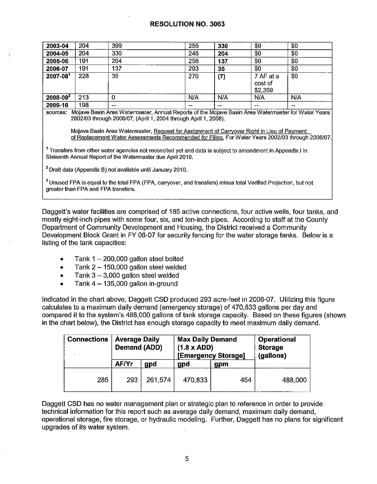| 2003-04      | 204 | 399   | 255            | 330    | \$0                             | \$0   |
|--------------|-----|-------|----------------|--------|---------------------------------|-------|
| 2004-05      | 204 | 330   | 248            | 204    | \$0                             | \$0   |
| 2005-06      | 191 | 204   | 258            | 137    | \$0                             | \$0   |
| 2006-07      | 191 | 137   | 293            | 35     | \$0                             | \$0   |
| $2007 - 081$ | 228 | 35    | 270            | (7)    | 7 AF at a<br>cost of<br>\$2,359 | \$0   |
| $2008 - 092$ | 213 | 0     | N/A            | N/A    | N/A                             | N/A   |
| 2009-10      | 198 | $- -$ | $\overline{a}$ | $\sim$ | $\sim$                          | $- -$ |

**sources:** Mojave Basin Area Watermaster, Annual Reports of the Mojave Basin Area Watermaster for Water Years 2002/03 through 2006/07, (April 1, 2004 through April 1, 2008).

Mojave Basin Area Watermaster, Reguest for Assignment of Carryover Right in Lieu of Payment of Replacement Water Assessments Recommended for Filing, For Water Years 2002/03 through 2006/07.

<sup>1</sup> Transfers from other water agencies not reconciled yet and data is subject to amendment in Appendix I in Sixteenth Annual Report of the Watermaster due April 2010.

2 Draft data (Appendix B) not available until January 2010.

3 Unused FPA is equal to the total FPA (FPA, carryover, and transfers) minus total Verified Projection, but not greater than FPA and FPA transfers.

Daggett's water facilities are comprised of 185 active connections, four active wells, four tanks, and mostly eight-inch pipes with some four, six, and ten-inch pipes. According to staff at the County Department of Community Development and Housing, the District received a Community Development Block Grant in FY 06-07 for security fencing for the water storage tanks. Below is a listing of the tank capacities:

- Tank  $1 200,000$  gallon steel bolted
- Tank  $2 150,000$  gallon steel welded
- Tank  $3 3,000$  gallon steel welded
- Tank  $4 135,000$  gallon in-ground

Indicated in the chart above, Daggett CSD produced 293 acre-feet in 2006-07. Utilizing this figure calculates to a maximum daily demand (emergency storage) of 470,833 gallons per day and compared it to the system's 488,000 gallons of tank storage capacity. Based on these figures (shown in the chart below), the District has enough storage capacity to meet maximum daily demand.

| <b>Connections</b> | <b>Average Daily</b><br>Demand (ADD) |         | <b>Max Daily Demand</b><br>$(1.8 \times ADD)$ | [Emergency Storage] | <b>Operational</b><br><b>Storage</b><br>(gallons) |  |
|--------------------|--------------------------------------|---------|-----------------------------------------------|---------------------|---------------------------------------------------|--|
|                    | AF/Yr                                | gpd     | gpd                                           | gpm                 |                                                   |  |
| 285                | 293                                  | 261,574 | 470,833                                       | 454                 | 488,000                                           |  |

Daggett CSD has no water management plan or strategic plan to reference in order to provide technical information for this report such as average daily demand, maximum daily demand, operational storage, fire storage, or hydraulic modeling. Further, Daggett has no plans for significant upgrades of its water system.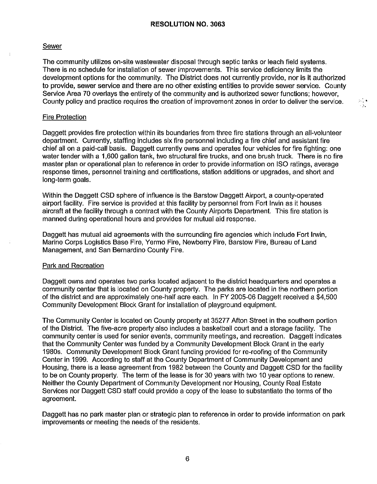#### Sewer

The community utilizes on-site wastewater disposal through septic tanks or leach field systems. There is no schedule for installation of sewer improvements. This service deficiency limits the development options for the community. The District does not currently provide, nor is **it** authorized to provide, sewer service and there are no other existing entities to provide sewer service. County Service Area 70 overlays the entirety of the community and is authorized sewer functions; however, County policy and practice requires the creation of improvement zones in order to deliver the service.

#### Fire Protection

Daggett provides fire protection within its boundaries from three fire stations through an all-volunteer department. Currently, staffing includes six fire personnel including a fire chief and assistant fire chief all on a paid-call basis. Daggett currently owns and operates four vehicles for fire fighting: one water tender with a 1,600 gallon tank, two structural fire trucks, and one brush truck. There is no fire master plan or operational plan to reference in order to provide information on ISO ratings, average response times, personnel training and certifications, station additions or upgrades, and short and long-term goals.

Within the Daggett CSD sphere of influence is the Barstow Daggett Airport, a county-operated airport facility. Fire service is provided at this facility by personnel from Fort Irwin as it houses aircraft at the facility through a contract with the County Airports Department. This fire station is manned during operational hours and provides for mutual aid response.

Daggett has mutual aid agreements with the surrounding fire agencies which include Fort Irwin, Marine Corps Logistics Base Fire, Yermo Fire, Newberry Fire, Barstow Fire, Bureau of Land Management, and San Bernardino County Fire.

#### Park and Recreation

Daggett owns and operates two parks located adjacent to the district headquarters and operates a community center that is located on County property. The parks are located in the northern portion of the district and are approximately one-half acre each. In FY 2005-06 Daggett received a \$4,500 Community Development Block Grant for installation of playground equipment.

The Community Center is located on County property at 35277 Afton Street in the southern portion of the District. The five-acre property also includes a basketball court and a storage facility. The community center is used for senior events, community meetings, and recreation. Daggett indicates that the Community Center was funded by a Community Development Block Grant in the early 1980s. Community Development Block Grant funding provided for re-roofing of the Community Center in 1999. According to staff at the County Department of Community Development and Housing, there is a lease agreement from 1982 between the County and Daggett CSD for the facility to be on County property. The term of the lease is for 30 years with two 10 year options to renew. Neither the County Department of Community Development nor Housing, County Real Estate Services nor Daggett CSD staff could provide a copy of the lease to substantiate the terms of the agreement.

Daggett has no park master plan or strategic plan to reference in order to provide information on park improvements or meeting the needs of the residents.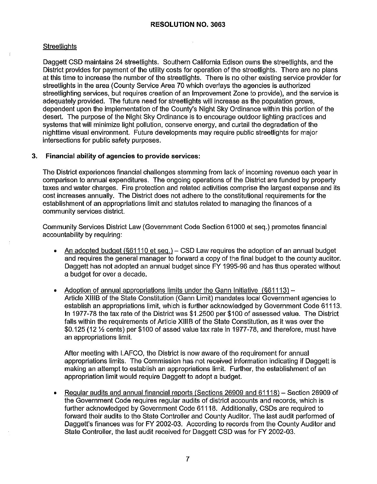# **Streetlights**

Daggett CSD maintains 24 streetlights. Southern California Edison owns the streetlights, and the District provides for payment of the utility costs for operation of the streetlights. There are no plans at this time to increase the number of the streetlights. There is no other existing service provider for streetlights in the area (County Service Area 70 which overlays the agencies is authorized streetlighting services, but requires creation of an Improvement Zone to provide), and the service is adequately provided. The future need for streetlights will increase as the population grows, dependent upon the implementation of the County's Night Sky Ordinance within this portion of the desert. The purpose of the Night Sky Ordinance is to encourage outdoor lighting practices and systems that will minimize light pollution, conserve energy, and curtail the degradation of the nighttime visual environment. Future developments may require public streetlights for major intersections for public safety purposes.

# **3. Financial ability of agencies to provide services:**

The District experiences financial challenges stemming from lack of incoming revenue each year in comparison to annual expenditures. The ongoing operations of the District are funded by property taxes and water charges. Fire protection and related activities comprise the largest expense and its cost increases annually. The District does not adhere to the constitutional requirements for the establishment of an appropriations limit and statutes related to managing the finances of a community services district.

Community Services District Law (Government Code Section 61000 et seq.) promotes financial accountability by requiring:

- An adopted budget  $(\frac{661110}{e}$  et seq.) CSD Law requires the adoption of an annual budget and requires the general manager to forward a copy of the final budget to the county auditor. Daggett has not adopted an annual budget since FY 1995-96 and has thus operated without a budget for over a decade.
- Adoption of annual appropriations limits under the Gann Initiative (§61113) Article XIIIB of the State Constitution (Gann Limit) mandates local Government agencies to establish an appropriations limit, which is further acknowledged by Government Code 61113. In 1977-78 lhe tax rate of the District was \$1.2500 per \$100 of assessed value. The District falls within the requirements of Article XIIIB of the State Constitution, as it was over the \$0.125 (12 ½ cents) per \$100 of assed value tax rate in 1977-78, and therefore, must have an appropriations limit.

After meeting with LAFCO, the District is now aware of the requirement for annual appropriations limits. The Commission has not received information indicating if Daggett is making an attempt to establish an appropriations limit. Further, the establishment of an appropriation limit would require Daggett to adopt a budget.

• Regular audits and annual financial reports (Sections 26909 and 61118) – Section 26909 of the Government Code requires regular audits of district accounts and records, which is further acknowledged by Government Code 61118. Additionally, CSDs are required to forward their audits to the State Controller and County Auditor. The last audit performed of Daggett's finances was for FY 2002-03. According to records from the County Auditor and State Controller, the last audit received for Daggett CSD was for FY 2002-03.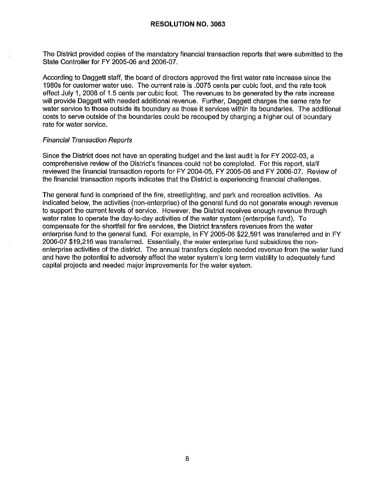The District provided copies of the mandatory financial transaction reports that were submitted to the State Controller for FY 2005-06 and 2006-07.

According to Daggett staff, the board of directors approved the first water rate increase since the 1980s for customer water use. The current rate is .0075 cents per cubic foot, and the rate took effect July 1, 2008 of 1.5 cents per cubic foot. The revenues to be generated by the rate increase will provide Daggett with needed additional revenue. Further, Daggett charges the same rate for water service to those outside its boundary as those it services within its boundaries. The additional costs to serve outside of the boundaries could be recouped by charging a higher out of boundary rate for water service.

#### Financial Transaction Reports

Since the District does not have an operating budget and the last audit is for FY 2002-03, a comprehensive review of the District's finances could not be completed. For this report, staff reviewed the financial transaction reports for FY 2004-05, FY 2005-06 and FY 2006-07. Review of the financial transaction reports indicates that the District is experiencing financial challenges.

The general fund is comprised of the fire, streetlighting, and park and recreation activities. As indicated below, the activities (non-enterprise) of the general fund do not generate enough revenue to support the current levels of service. However, the District receives enough revenue through water rates to operate the day-to-day activities of the water system (enterprise fund). To compensate for the shortfall for fire services, the District transfers revenues from the water enterprise fund to the general fund. For example, in FY 2005-06 \$22,591 was transferred and in FY 2006-07 \$19,216 was transferred. Essentially, the water enterprise fund subsidizes the nonenterprise activities of the district. The annual transfers deplete needed revenue from the water fund and have the potential to adversely affect the water system's long term viability to adequately fund capital projects and needed major improvements for the water system.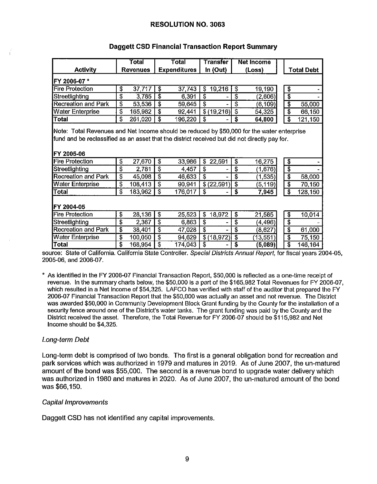|                                                                                                                                                                                                                  |                         | <b>Total</b>    |                           | Total               |                         | Transfer           |                                        | <b>Net Income</b> |                         |            |
|------------------------------------------------------------------------------------------------------------------------------------------------------------------------------------------------------------------|-------------------------|-----------------|---------------------------|---------------------|-------------------------|--------------------|----------------------------------------|-------------------|-------------------------|------------|
| <b>Activity</b>                                                                                                                                                                                                  |                         | <b>Revenues</b> |                           | <b>Expenditures</b> |                         | In $(Out)$         |                                        | (Loss)            |                         | Total Debt |
| FY 2006-07 *                                                                                                                                                                                                     |                         |                 |                           |                     |                         |                    |                                        |                   |                         |            |
| Fire Protection                                                                                                                                                                                                  | \$                      | 37717           | \$                        | 37,743              | \$                      | 19,216             | \$                                     | 19,190            | \$                      |            |
| Streetlighting                                                                                                                                                                                                   | \$                      | 3.785           | $\overline{\mathbf{3}}$   | 6,391               | \$                      |                    | \$                                     | (2,606)           | $\overline{\$}$         |            |
| <b>Recreation and Park</b>                                                                                                                                                                                       | \$                      | 53,536          | \$                        | 59.645              | $\overline{\mathbf{s}}$ |                    | \$                                     | (6, 109)          | \$                      | 55,000     |
| <b>Water Enterprise</b>                                                                                                                                                                                          | \$                      | 165,982         | $\overline{\$}$           | 92,441              |                         | $\sqrt{6(19,216)}$ | $\overline{\boldsymbol{\mathfrak{s}}}$ | 54,325            | \$                      | 66,150     |
| Total                                                                                                                                                                                                            | \$                      | 261,020         | $\overline{\mathbf{3}}$   | 196,220             | \$                      |                    | $\overline{\mathbf{s}}$                | 64,800            | $\overline{\mathbf{3}}$ | 121,150    |
| Note: Total Revenues and Net Income should be reduced by \$50,000 for the water enterprise<br>fund and be reclassified as an asset that the district received but did not directly pay for.<br><b>FY 2005-06</b> |                         |                 |                           |                     |                         |                    |                                        |                   |                         |            |
| <b>Fire Protection</b>                                                                                                                                                                                           | \$                      | 27,670          | \$                        | 33,986              | \$                      | 22,591             | \$                                     | 16,275            | \$                      |            |
| Streetlighting                                                                                                                                                                                                   | \$                      | 2,781           | $\overline{\$}$           | 4,457               | $\overline{\textbf{3}}$ |                    | $\overline{\mathbb{S}}$                | (1,676)           | \$                      |            |
| Recreation and Park                                                                                                                                                                                              | \$                      | 45,098          | $\overline{\mathbf{3}}$   | 46.633              | $\overline{\$}$         |                    | $\overline{\mathbf{s}}$                | (1, 535)          | \$                      | 58,000     |
| Water Enterprise                                                                                                                                                                                                 | $\overline{\$}$         | 108,413         | \$                        | 90 941              |                         | \$(22,591)         | $\overline{\boldsymbol{s}}$            | (5,119)           | \$                      | 70,150     |
| Total                                                                                                                                                                                                            | \$                      | 183,962         | $\overline{\mathbb{S}}$   | 176.017             | \$                      |                    | $\overline{\mathbf{s}}$                | 7,945             | $\overline{\mathbb{S}}$ | 128,150    |
| FY 2004-05<br>Fire Protection                                                                                                                                                                                    | \$                      | 28,136          | $\overline{\mathfrak{s}}$ | 25,523              | \$                      | 18,972             | \$                                     | 21,585            | \$                      | 10,014     |
| Streetlighting                                                                                                                                                                                                   | \$                      | 2,367           | \$                        | 6,863               | \$                      |                    | \$                                     | (4, 496)          | \$                      |            |
| Recreation and Park                                                                                                                                                                                              | \$                      | 38,401          | \$                        | 47,028              | $\overline{\$}$         |                    | \$                                     | (8,627)           | \$                      | 61,000     |
| Water Enterprise                                                                                                                                                                                                 | $\overline{\textbf{3}}$ | 100,050         | \$                        | 94.629              |                         | \$(18, 972)        | \$                                     | (13, 551)         | \$                      | 75,150     |
| Total                                                                                                                                                                                                            | \$                      | 168.954         | \$                        | 174,043             | \$                      |                    | S                                      | (5,089)           | \$                      | 146,164    |

# **Daggett CSD Financial Transaction Report Summary**

source: State of California. California State Controller. Special Districts Annual Report, for fiscal years 2004-05, 2005-06, and 2006-07.

• As identified in the FY 2006-07 Financial Transaction Report, \$50,000 is reflected as a one-time receipt of revenue. In the summary charts below, the \$50,000 is a part of the \$165,982 Total Revenues for FY 2006-07, which resulted in a Net Income of \$54,325. LAFCO has verified with staff of the auditor that prepared the FY 2006-07 Financial Transaction Report that the \$50,000 was actually an asset and not revenue. The District was awarded \$50,000 in Community Development Block Grant funding by the County for the installation of a security fence around one of the District's water tanks. The grant funding was paid by the County and the District received the asset. Therefore, the Total Revenue for FY 2006-07 should be \$115,982 and Net Income should be \$4,325.

# Long-term Debt

Long-term debt is comprised of two bonds. The first is a general obligation bond for recreation and park services which was authorized in 1979 and matures in 2019. As of June 2007, the un-matured amount of the bond was \$55,000. The second is a revenue bond to upgrade water delivery which was authorized in 1980 and matures in 2020. As of June 2007, the un-matured amount of the bond was \$66,150.

#### Capital Improvements

Daggett CSD has not identified any capital improvements.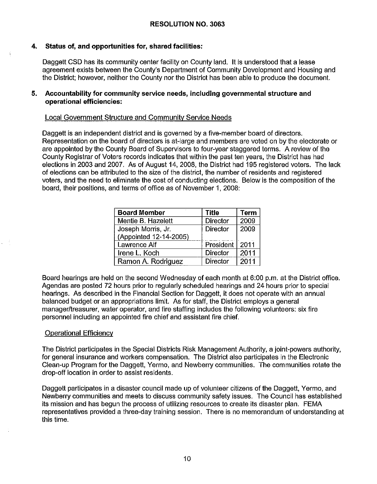# **4. Status of, and opportunities for, shared facilities:**

Daggett CSD has its community center facility on County land. It is understood that a lease agreement exists between the County's Department of Community Development and Housing and the District; however, neither the County nor the District has been able to produce the document.

#### **5. Accountability for community service needs, including governmental structure and operational efficiencies:**

# Local Government Structure and Community Service Needs

Daggett is an independent district and is governed by a five-member board of directors. Representation on the board of directors is at-large and members are voted on by the electorate or are appointed by the County Board of Supervisors to four-year staggered terms. A review of the County Registrar of Voters records indicates that within the past ten years, the District has had elections in 2003 and 2007. As of August 14, 2008, the District had 195 registered voters. The lack of elections can be attributed to the size of the district, the number of residents and registered voters, and the need to eliminate the cost of conducting elections. Below is the composition of the board, their positions, and terms of office as of November 1, 2008:

| <b>Board Member</b>    | <b>Title</b>    | <b>Term</b> |
|------------------------|-----------------|-------------|
| Mentie B. Hazelett     | <b>Director</b> | 2009        |
| Joseph Morris, Jr.     | <b>Director</b> | 2009        |
| (Appointed 12-14-2005) |                 |             |
| Lawrence Alf           | President       | 2011        |
| Irene L. Koch          | <b>Director</b> | 2011        |
| Ramon A. Rodriguez     | Director        | 2011        |

Board hearings are held on the second Wednesday of each month at 6:00 p.m. at the District office. Agendas are posted 72 hours prior to regularly scheduled hearings and 24 hours prior to special hearings. As described in the Financial Section for Daggett, it does not operate with an annual balanced budget or an appropriations limit. As for staff, the District employs a general manager/treasurer, water operator, and fire staffing includes the following volunteers: six fire personnel including an appointed fire chief and assistant fire chief.

# Operational Efficiency

 $\ddot{\phantom{a}}$ 

The District participates in the Special Districts Risk Management Authority, a joint-powers authority, for general insurance and workers compensation. The District also participates in the Electronic Clean-up Program for the Daggett, Yermo, and Newberry communities. The communities rotate the drop-off location in order to assist residents.

Daggett participates in a disaster council made up of volunteer citizens of the Daggett, Yermo, and Newberry communities and meets to discuss community safety issues. The Council has established its mission and has begun the process of utilizing resources to create its disaster plan. FEMA representatives provided a three-day training session. There is no memorandum of understanding at this time.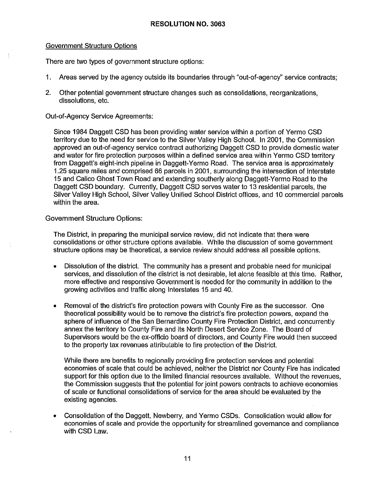#### Government Structure Options

There are two types of government structure options:

- 1. Areas served by the agency outside its boundaries through "out-of-agency" service contracts;
- 2. Other potential government structure changes such as consolidations, reorganizations, dissolutions, etc.

Out-of-Agency Service Agreements:

Since 1984 Daggett CSD has been providing water service within a portion of Yermo CSD territory due to the need for service to the Silver Valley High School. In 2001, the Commission approved an out-of-agency service contract authorizing Daggett CSD to provide domestic water and water for fire protection purposes within a defined service area within Yermo CSD territory from Daggett's eight-inch pipeline in Daggett-Yermo Road. The service area is approximately 1.25 square miles and comprised 66 parcels in 2001, surrounding the intersection of Interstate 15 and Calico Ghost Town Road and extending southerly along Daggett-Yermo Road to the Daggett CSD boundary. Currently, Daggett CSD serves water to 13 residential parcels, the Silver Valley High School, Silver Valley Unified School District offices, and 10 commercial parcels within the area.

#### Government Structure Options:

The District, in preparing the municipal service review, did not indicate that there were consolidations or other structure options available. While the discussion of some government structure options may be theoretical, a service review should address all possible options.

- Dissolution of the district. The community has a present and probable need for municipal services, and dissolution of the district is not desirable, let alone feasible at this time. Rather, more effective and responsive Government is needed for the community in addition to the growing activities and traffic along Interstates 15 and 40.
- Removal of the district's fire protection powers with County Fire as the successor. One theoretical possibility would be to remove the district's fire protection powers, expand the sphere of influence of the San Bernardino County Fire Protection District, and concurrently annex the territory to County Fire and its North Desert Service Zone. The Board of Supervisors would be the ex-officio board of directors, and County Fire would then succeed to the property tax revenues attributable to fire protection of the District.

While there are benefits to regionally providing fire protection services and potential economies of scale that could be achieved, neither the District nor County Fire has indicated support for this option due to the limited financial resources available. Without the revenues, the Commission suggests that the potential for joint powers contracts to achieve economies of scale or functional consolidations of service for the area should be evaluated by the existing agencies.

• Consolidation of the Daggett, Newberry, and Yermo CSDs. Consolidation would allow for economies of scale and provide the opportunity for streamlined governance and compliance with CSD Law.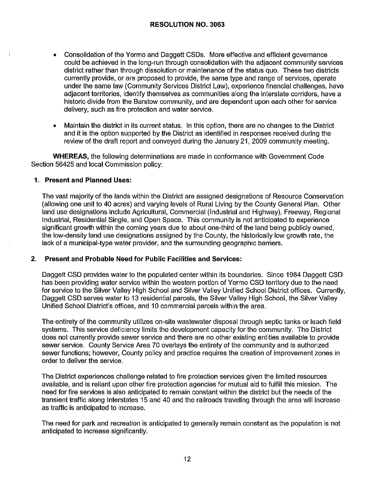- Consolidation of the Yermo and Daggett CSDs. More effective and efficient governance could be achieved in the long-run through consolidation with the adjacent community services district rather than through dissolution or maintenance of the status quo. These two districts currently provide, or are proposed to provide, the same type and range of services, operate under the same law (Community Services District Law), experience financial challenges, have adjacent territories, identify themselves as communities along the interstate corridors, have a historic divide from the Barstow community, and are dependent upon each other for service delivery, such as fire protection and water service.
- Maintain the district in its current status. In this option, there are no changes to the District and it is the option supported by the District as identified in responses received during the review of the draft report and conveyed during the January 21, 2009 community meeting.

**WHEREAS,** the following determinations are made in conformance with Government Code Section 56425 and local Commission policy:

#### **1. Present and Planned Uses:**

The vast majority of the lands within the District are assigned designations of Resource Conservation (allowing one unit to 40 acres) and varying levels of Rural Living by the County General Plan. Other land use designations include Agricultural, Commercial (Industrial and Highway), Freeway, Regional Industrial, Residential Single, and Open Space. This community is not anticipated to experience significant growth within the coming years due to about one-third of the land being publicly owned, the low-density land use designations assigned by the County, the historically low growth rate, the lack of a municipal-type water provider, and the surrounding geographic barriers.

#### **2. Present and Probable Need for Public Facilities and Services:**

Daggett CSD provides water to the populated center within its boundaries. Since 1984 Daggett CSD has been providing water service within the western portion of Yermo CSD territory due to the need for service to the Silver Valley High School and Silver Valley Unified School District offices. Currently, Daggett CSD serves water to 13 residential parcels, the Silver Valley High School, the Silver Valley Unified School District's offices, and 10 commercial parcels within the area.

The entirety of the community utilizes on-site wastewater disposal through septic tanks or leach field systems. This service deficiency limits the development capacity for the community. The District does not currently provide sewer service and there are no other existing entities available to provide sewer service. County Service Area 70 overlays the entirety of the community and is authorized sewer functions; however, County policy and practice requires the creation of improvement zones in order to deliver the service.

The District experiences challenge related to fire protection services given the limited resources available, and is reliant upon other fire protection agencies for mutual aid to fulfill this mission. The need for fire services is also anticipated to remain constant within the district but the needs of the transient traffic along Interstates 15 and 40 and the railroads traveling through the area will increase as traffic is anticipated to increase.

The need for park and recreation is anticipated to generally remain constant as the population is not anticipated to increase significantly.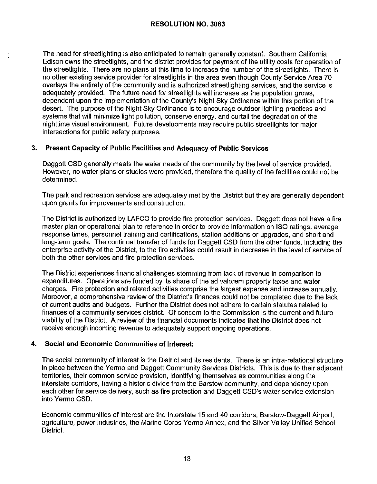The need for streetlighting is also anticipated to remain generally constant. Southern California Edison owns the streetlights, and the district provides for payment of the utility costs for operation of the streetlights. There are no plans at this time to increase the number of the streetlights. There is no other existing service provider for streetlights in the area even though County Service Area 70 overlays the entirety of the community and is authorized streetlighling services, and the service is adequately provided. The future need for streetlights will increase as the population grows, dependent upon the implementation of the County's Night Sky Ordinance within this portion of the desert. The purpose of the Night Sky Ordinance is to encourage outdoor lighting practices and systems that will minimize light pollution, conserve energy, and curtail the degradation of the nighttime visual environment. Future developments may require public streetlights for major intersections for public safety purposes.

# **3. Present Capacity of Public Facilities and Adequacy of Public Services**

Daggett CSD generally meets the water needs of the community by the level of service provided. However, no water plans or studies were provided, therefore the quality of the facilities could not be determined.

The park and recreation services are adequately met by the District but they are generally dependent upon grants for improvements and construction.

The District is authorized by LAFCO to provide fire protection services. Daggett does not have a fire master plan or operational plan to reference in order to provide information on ISO ratings, average response times, personnel training and certifications, station additions or upgrades, and short and long-term goals. The continual transfer of funds for Daggett CSD from the other funds, including the enterprise activity of the District, to the fire activities could result in decrease in the level of service of both the other services and fire protection services.

The District experiences financial challenges stemming from lack of revenue in comparison to expenditures. Operations are funded by its share of the ad valorem property taxes and water charges. Fire protection and related activities comprise the largest expense and increase annually. Moreover, a comprehensive review of the District's finances could not be completed due to the lack of current audits and budgets. Further the District does not adhere to certain statutes related to finances of a community services district. Of concern to the Commission is the current and future viability of the District. A review of the financial documents indicates that the District does not receive enough incoming revenue to adequately support ongoing operations.

# **4. Social and Economic Communities of Interest:**

The social community of interest is the District and its residents. There is an intra-relational structure in place between the Yermo and Daggett Community Services Districts. This is due to their adjacent territories, their common service provision, identifying themselves as communities along the interstate corridors, having a historic divide from the Barstow community, and dependency upon each other for service delivery, such as fire protection and Daggett CSD's water service extension into Yermo CSD.

Economic communities of interest are the Interstate 15 and 40 corridors, Barstow-Daggett Airport, agriculture, power industries, the Marine Corps Yermo Annex, and the Silver Valley Unified School District.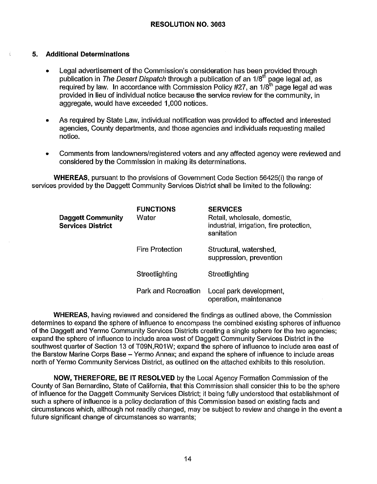#### **5. Additional Determinations**

- Legal advertisement of the Commission's consideration has been provided through publication in The Desert Dispatch through a publication of an 1/8<sup>th</sup> page legal ad, as required by law. In accordance with Commission Policy  $#27$ , an  $1/8<sup>th</sup>$  page legal ad was provided in lieu of individual notice because the service review for the community, in aggregate, would have exceeded 1,000 notices.
- As required by State Law, individual notification was provided to affected and interested agencies, County departments, and those agencies and individuals requesting mailed notice.
- Comments from landowners/registered voters and any affected agency were reviewed and considered by the Commission in making its determinations.

**WHEREAS,** pursuant to the provisions of Government Code Section 56425(i) the range of services provided by the Daggett Community Services District shall be limited to the following:

| <b>Daggett Community</b><br><b>Services District</b> | <b>FUNCTIONS</b><br>Water | <b>SERVICES</b><br>Retail, wholesale, domestic,<br>industrial, irrigation, fire protection,<br>sanitation |
|------------------------------------------------------|---------------------------|-----------------------------------------------------------------------------------------------------------|
|                                                      | <b>Fire Protection</b>    | Structural, watershed,<br>suppression, prevention                                                         |
|                                                      | Streetlighting            | Streetlighting                                                                                            |
|                                                      | Park and Recreation       | Local park development,<br>operation, maintenance                                                         |

**WHEREAS,** having reviewed and considered the findings as outlined above, the Commission determines to expand the sphere of influence to encompass the combined existing spheres of influence of the Daggett and Yermo Community Services Districts creating a single sphere for the two agencies; expand the sphere of influence to include area west of Daggett Community Services District in the southwest quarter of Section 13 of T09N,R01W; expand the sphere of influence to include area east of the Barstow Marine Corps Base - Yermo Annex; and expand the sphere of influence to include areas north of Yermo Community Services District, as outlined on the attached exhibits to this resolution.

**NOW, THEREFORE, BE IT RESOLVED** by the Local Agency Formation Commission of the County of San Bernardino, State of California, that this Commission shall consider this to be the sphere of influence for the Daggett Community Services District; it being fully understood that establishment of such a sphere of influence is a policy declaration of this Commission based on existing facts and circumstances which, although not readily changed, may be subject to review and change in the event a future significant change of circumstances so warrants;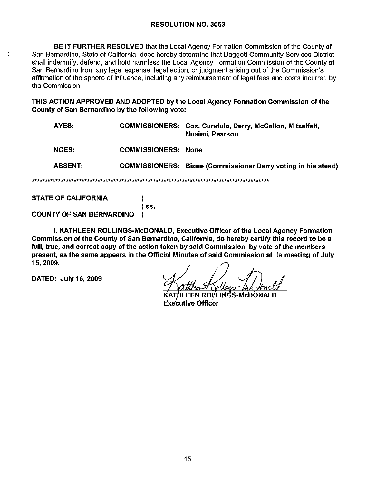BE IT FURTHER RESOLVED that the Local Agency Formation Commission of the County of San Bernardino, State of California, does hereby determine that Daggett Community Services District shall indemnify, defend, and hold harmless the Local Agency Formation Commission of the County of San Bernardino from any legal expense, legal action, or judgment arising out of the Commission's affirmation of the sphere of influence, including any reimbursement of legal fees and costs incurred by the Commission.

THIS ACTION APPROVED AND ADOPTED by the Local Agency Formation Commission of the County of San Bernardino by the following vote:

| AYES:          |                            | <b>COMMISSIONERS: Cox, Curatalo, Derry, McCallon, Mitzelfelt,</b><br>Nuaimi, Pearson |  |  |  |
|----------------|----------------------------|--------------------------------------------------------------------------------------|--|--|--|
| <b>NOES:</b>   | <b>COMMISSIONERS: None</b> |                                                                                      |  |  |  |
| <b>ABSENT:</b> |                            | <b>COMMISSIONERS:</b> Biane (Commissioner Derry voting in his stead)                 |  |  |  |
|                |                            |                                                                                      |  |  |  |

**STATE OF CALIFORNIA** 

Ť.

 $\overline{\phantom{a}}$  ss.

 $\mathcal{E}$ 

€

**COUNTY OF SAN BERNARDINO** 

I, KATHLEEN ROLLINGS-McDONALD, Executive Officer of the Local Agency Formation Commission of the County of San Bernardino, California, do hereby certify this record to be a full, true, and correct copy of the action taken by said Commission, by vote of the members present, as the same appears in the Official Minutes of said Commission at its meeting of July 15, 2009,

DATED: July 16, 2009

EEN ROLLINGS-McDONALD. **Executive Officer**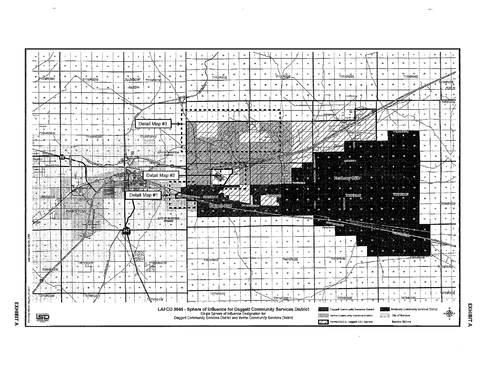

**EXHIBITA** 

**EXHIBIT**  $\mathbf{r}$ 

 $\mathbf{r}$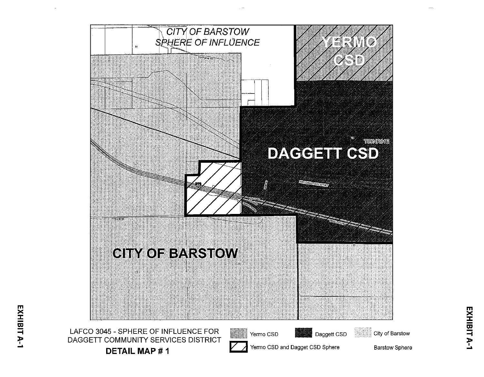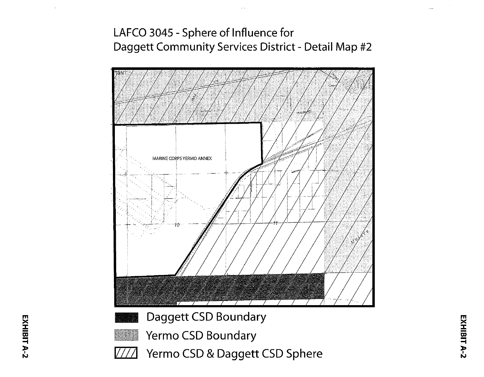# LAFCO 3045 - Sphere of Influence for Daggett Community Services District - Detail Map #2